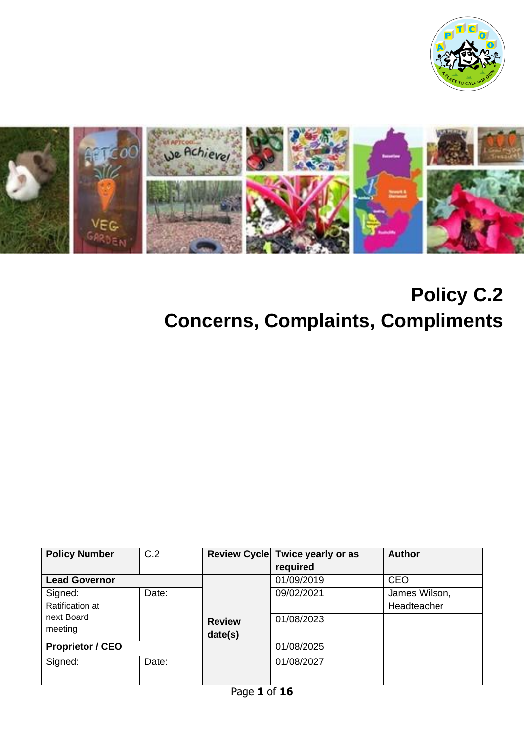



# **Policy C.2 Concerns, Complaints, Compliments**

| <b>Policy Number</b>                            | C.2   |                          | Review Cycle Twice yearly or as<br>required | <b>Author</b> |
|-------------------------------------------------|-------|--------------------------|---------------------------------------------|---------------|
| <b>Lead Governor</b>                            |       |                          | 01/09/2019                                  | <b>CEO</b>    |
| Signed:                                         | Date: |                          | 09/02/2021                                  | James Wilson, |
| <b>Ratification at</b><br>next Board<br>meeting |       | <b>Review</b><br>date(s) | 01/08/2023                                  | Headteacher   |
| <b>Proprietor / CEO</b>                         |       |                          | 01/08/2025                                  |               |
| Signed:                                         | Date: |                          | 01/08/2027                                  |               |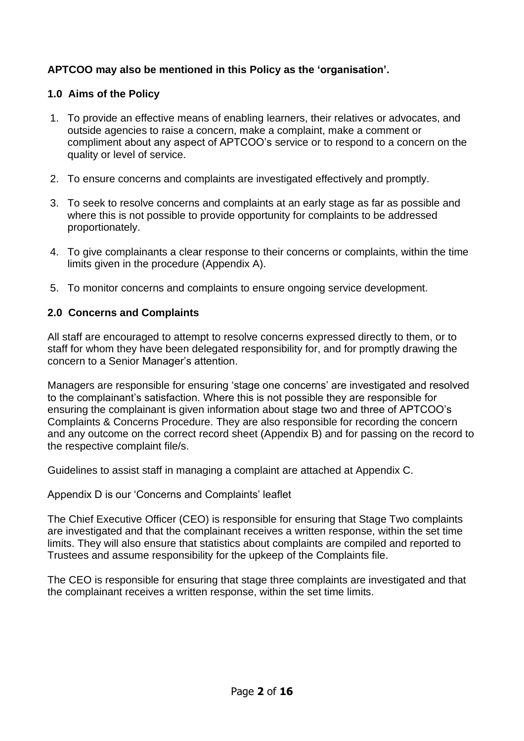## **APTCOO may also be mentioned in this Policy as the 'organisation'.**

## **1.0 Aims of the Policy**

- 1. To provide an effective means of enabling learners, their relatives or advocates, and outside agencies to raise a concern, make a complaint, make a comment or compliment about any aspect of APTCOO's service or to respond to a concern on the quality or level of service.
- 2. To ensure concerns and complaints are investigated effectively and promptly.
- 3. To seek to resolve concerns and complaints at an early stage as far as possible and where this is not possible to provide opportunity for complaints to be addressed proportionately.
- 4. To give complainants a clear response to their concerns or complaints, within the time limits given in the procedure (Appendix A).
- 5. To monitor concerns and complaints to ensure ongoing service development.

## **2.0 Concerns and Complaints**

All staff are encouraged to attempt to resolve concerns expressed directly to them, or to staff for whom they have been delegated responsibility for, and for promptly drawing the concern to a Senior Manager's attention.

Managers are responsible for ensuring 'stage one concerns' are investigated and resolved to the complainant's satisfaction. Where this is not possible they are responsible for ensuring the complainant is given information about stage two and three of APTCOO's Complaints & Concerns Procedure. They are also responsible for recording the concern and any outcome on the correct record sheet (Appendix B) and for passing on the record to the respective complaint file/s.

Guidelines to assist staff in managing a complaint are attached at Appendix C.

Appendix D is our 'Concerns and Complaints' leaflet

The Chief Executive Officer (CEO) is responsible for ensuring that Stage Two complaints are investigated and that the complainant receives a written response, within the set time limits. They will also ensure that statistics about complaints are compiled and reported to Trustees and assume responsibility for the upkeep of the Complaints file.

The CEO is responsible for ensuring that stage three complaints are investigated and that the complainant receives a written response, within the set time limits.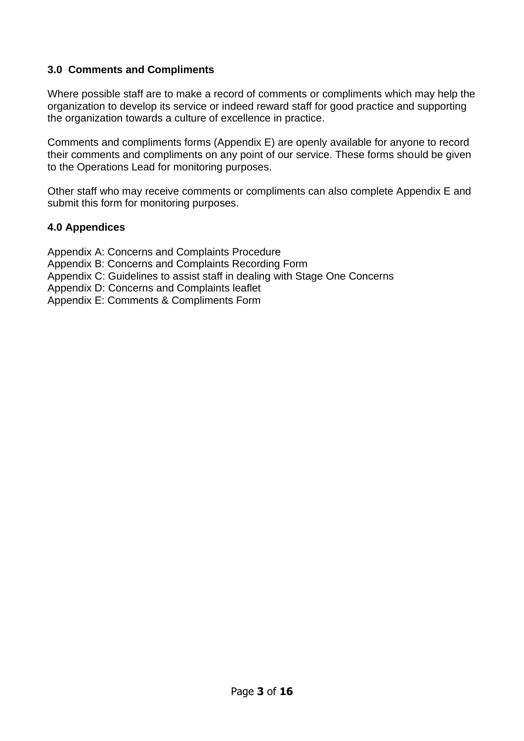## **3.0 Comments and Compliments**

Where possible staff are to make a record of comments or compliments which may help the organization to develop its service or indeed reward staff for good practice and supporting the organization towards a culture of excellence in practice.

Comments and compliments forms (Appendix E) are openly available for anyone to record their comments and compliments on any point of our service. These forms should be given to the Operations Lead for monitoring purposes.

Other staff who may receive comments or compliments can also complete Appendix E and submit this form for monitoring purposes.

## **4.0 Appendices**

Appendix A: Concerns and Complaints Procedure Appendix B: Concerns and Complaints Recording Form

- Appendix C: Guidelines to assist staff in dealing with Stage One Concerns
- Appendix D: Concerns and Complaints leaflet

Appendix E: Comments & Compliments Form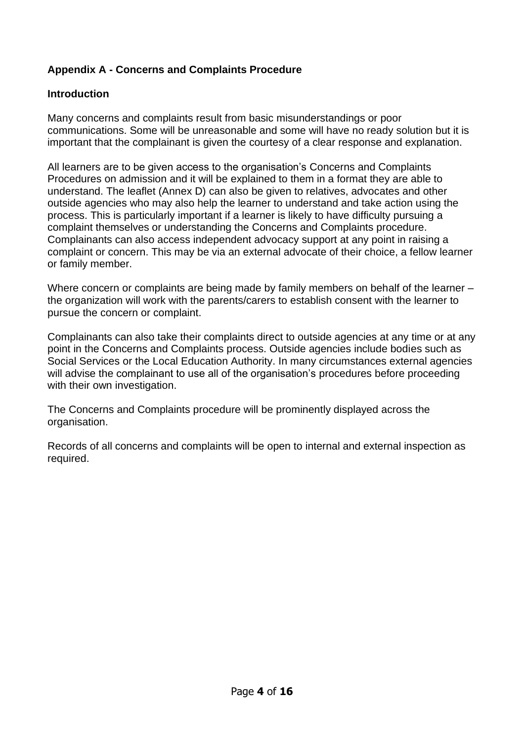## **Appendix A - Concerns and Complaints Procedure**

## **Introduction**

Many concerns and complaints result from basic misunderstandings or poor communications. Some will be unreasonable and some will have no ready solution but it is important that the complainant is given the courtesy of a clear response and explanation.

All learners are to be given access to the organisation's Concerns and Complaints Procedures on admission and it will be explained to them in a format they are able to understand. The leaflet (Annex D) can also be given to relatives, advocates and other outside agencies who may also help the learner to understand and take action using the process. This is particularly important if a learner is likely to have difficulty pursuing a complaint themselves or understanding the Concerns and Complaints procedure. Complainants can also access independent advocacy support at any point in raising a complaint or concern. This may be via an external advocate of their choice, a fellow learner or family member.

Where concern or complaints are being made by family members on behalf of the learner – the organization will work with the parents/carers to establish consent with the learner to pursue the concern or complaint.

Complainants can also take their complaints direct to outside agencies at any time or at any point in the Concerns and Complaints process. Outside agencies include bodies such as Social Services or the Local Education Authority. In many circumstances external agencies will advise the complainant to use all of the organisation's procedures before proceeding with their own investigation.

The Concerns and Complaints procedure will be prominently displayed across the organisation.

Records of all concerns and complaints will be open to internal and external inspection as required.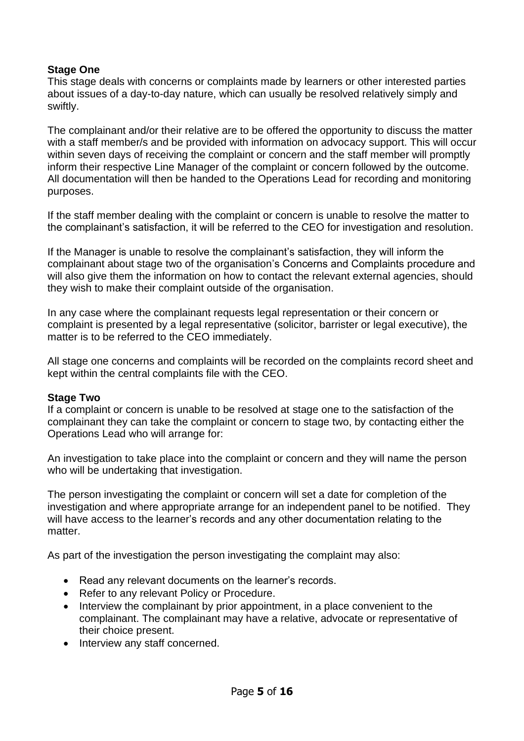## **Stage One**

This stage deals with concerns or complaints made by learners or other interested parties about issues of a day-to-day nature, which can usually be resolved relatively simply and swiftly.

The complainant and/or their relative are to be offered the opportunity to discuss the matter with a staff member/s and be provided with information on advocacy support. This will occur within seven days of receiving the complaint or concern and the staff member will promptly inform their respective Line Manager of the complaint or concern followed by the outcome. All documentation will then be handed to the Operations Lead for recording and monitoring purposes.

If the staff member dealing with the complaint or concern is unable to resolve the matter to the complainant's satisfaction, it will be referred to the CEO for investigation and resolution.

If the Manager is unable to resolve the complainant's satisfaction, they will inform the complainant about stage two of the organisation's Concerns and Complaints procedure and will also give them the information on how to contact the relevant external agencies, should they wish to make their complaint outside of the organisation.

In any case where the complainant requests legal representation or their concern or complaint is presented by a legal representative (solicitor, barrister or legal executive), the matter is to be referred to the CEO immediately.

All stage one concerns and complaints will be recorded on the complaints record sheet and kept within the central complaints file with the CEO.

## **Stage Two**

If a complaint or concern is unable to be resolved at stage one to the satisfaction of the complainant they can take the complaint or concern to stage two, by contacting either the Operations Lead who will arrange for:

An investigation to take place into the complaint or concern and they will name the person who will be undertaking that investigation.

The person investigating the complaint or concern will set a date for completion of the investigation and where appropriate arrange for an independent panel to be notified. They will have access to the learner's records and any other documentation relating to the matter.

As part of the investigation the person investigating the complaint may also:

- Read any relevant documents on the learner's records.
- Refer to any relevant Policy or Procedure.
- Interview the complainant by prior appointment, in a place convenient to the complainant. The complainant may have a relative, advocate or representative of their choice present.
- Interview any staff concerned.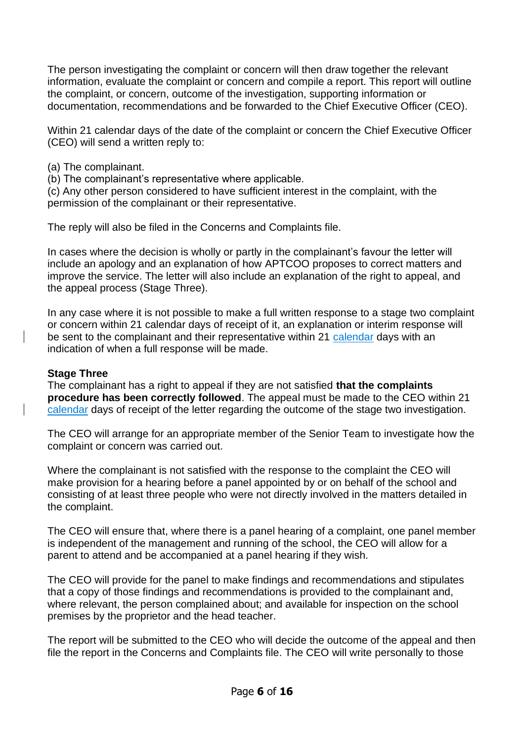The person investigating the complaint or concern will then draw together the relevant information, evaluate the complaint or concern and compile a report. This report will outline the complaint, or concern, outcome of the investigation, supporting information or documentation, recommendations and be forwarded to the Chief Executive Officer (CEO).

Within 21 calendar days of the date of the complaint or concern the Chief Executive Officer (CEO) will send a written reply to:

(a) The complainant.

(b) The complainant's representative where applicable.

(c) Any other person considered to have sufficient interest in the complaint, with the permission of the complainant or their representative.

The reply will also be filed in the Concerns and Complaints file.

In cases where the decision is wholly or partly in the complainant's favour the letter will include an apology and an explanation of how APTCOO proposes to correct matters and improve the service. The letter will also include an explanation of the right to appeal, and the appeal process (Stage Three).

In any case where it is not possible to make a full written response to a stage two complaint or concern within 21 calendar days of receipt of it, an explanation or interim response will be sent to the complainant and their representative within 21 calendar days with an indication of when a full response will be made.

## **Stage Three**

The complainant has a right to appeal if they are not satisfied **that the complaints procedure has been correctly followed**. The appeal must be made to the CEO within 21 calendar days of receipt of the letter regarding the outcome of the stage two investigation.

The CEO will arrange for an appropriate member of the Senior Team to investigate how the complaint or concern was carried out.

Where the complainant is not satisfied with the response to the complaint the CEO will make provision for a hearing before a panel appointed by or on behalf of the school and consisting of at least three people who were not directly involved in the matters detailed in the complaint.

The CEO will ensure that, where there is a panel hearing of a complaint, one panel member is independent of the management and running of the school, the CEO will allow for a parent to attend and be accompanied at a panel hearing if they wish.

The CEO will provide for the panel to make findings and recommendations and stipulates that a copy of those findings and recommendations is provided to the complainant and, where relevant, the person complained about; and available for inspection on the school premises by the proprietor and the head teacher.

The report will be submitted to the CEO who will decide the outcome of the appeal and then file the report in the Concerns and Complaints file. The CEO will write personally to those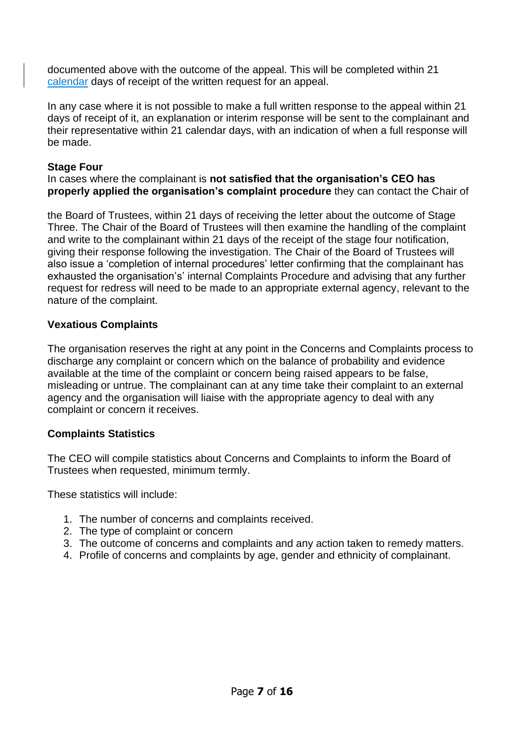documented above with the outcome of the appeal. This will be completed within 21 calendar days of receipt of the written request for an appeal.

In any case where it is not possible to make a full written response to the appeal within 21 days of receipt of it, an explanation or interim response will be sent to the complainant and their representative within 21 calendar days, with an indication of when a full response will be made.

#### **Stage Four**

#### In cases where the complainant is **not satisfied that the organisation's CEO has properly applied the organisation's complaint procedure** they can contact the Chair of

the Board of Trustees, within 21 days of receiving the letter about the outcome of Stage Three. The Chair of the Board of Trustees will then examine the handling of the complaint and write to the complainant within 21 days of the receipt of the stage four notification, giving their response following the investigation. The Chair of the Board of Trustees will also issue a 'completion of internal procedures' letter confirming that the complainant has exhausted the organisation's' internal Complaints Procedure and advising that any further request for redress will need to be made to an appropriate external agency, relevant to the nature of the complaint.

## **Vexatious Complaints**

The organisation reserves the right at any point in the Concerns and Complaints process to discharge any complaint or concern which on the balance of probability and evidence available at the time of the complaint or concern being raised appears to be false, misleading or untrue. The complainant can at any time take their complaint to an external agency and the organisation will liaise with the appropriate agency to deal with any complaint or concern it receives.

## **Complaints Statistics**

The CEO will compile statistics about Concerns and Complaints to inform the Board of Trustees when requested, minimum termly.

These statistics will include:

- 1. The number of concerns and complaints received.
- 2. The type of complaint or concern
- 3. The outcome of concerns and complaints and any action taken to remedy matters.
- 4. Profile of concerns and complaints by age, gender and ethnicity of complainant.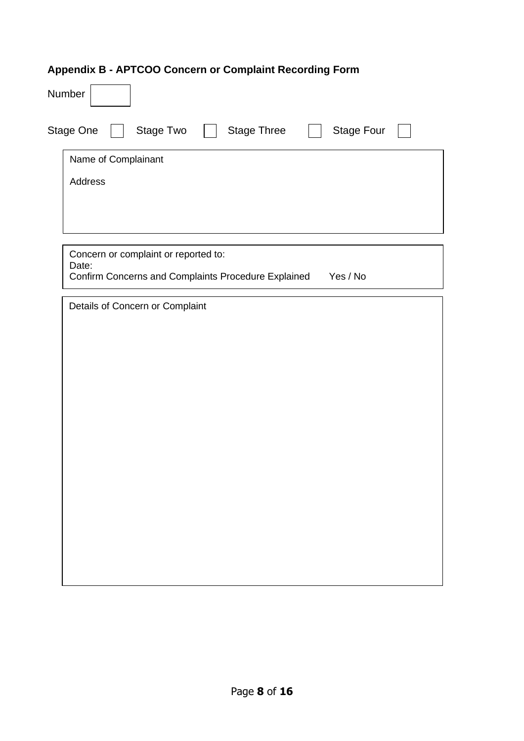# **Appendix B - APTCOO Concern or Complaint Recording Form**

| Number                                                                                                        |  |  |  |  |  |
|---------------------------------------------------------------------------------------------------------------|--|--|--|--|--|
| Stage One<br>Stage Two<br><b>Stage Three</b><br><b>Stage Four</b>                                             |  |  |  |  |  |
| Name of Complainant                                                                                           |  |  |  |  |  |
| Address                                                                                                       |  |  |  |  |  |
|                                                                                                               |  |  |  |  |  |
|                                                                                                               |  |  |  |  |  |
| Concern or complaint or reported to:<br>Date:<br>Confirm Concerns and Complaints Procedure Explained Yes / No |  |  |  |  |  |
|                                                                                                               |  |  |  |  |  |
| Details of Concern or Complaint                                                                               |  |  |  |  |  |
|                                                                                                               |  |  |  |  |  |
|                                                                                                               |  |  |  |  |  |
|                                                                                                               |  |  |  |  |  |
|                                                                                                               |  |  |  |  |  |
|                                                                                                               |  |  |  |  |  |
|                                                                                                               |  |  |  |  |  |
|                                                                                                               |  |  |  |  |  |
|                                                                                                               |  |  |  |  |  |
|                                                                                                               |  |  |  |  |  |
|                                                                                                               |  |  |  |  |  |
|                                                                                                               |  |  |  |  |  |
|                                                                                                               |  |  |  |  |  |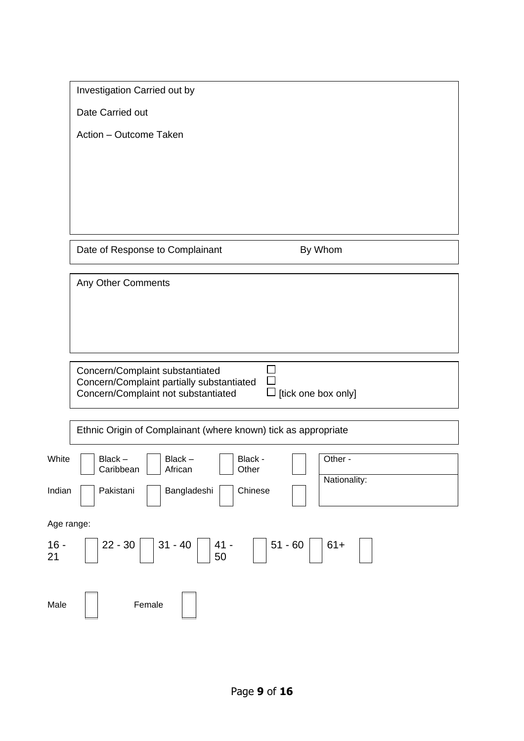|              | Investigation Carried out by                                                 |  |  |  |  |
|--------------|------------------------------------------------------------------------------|--|--|--|--|
|              | Date Carried out                                                             |  |  |  |  |
|              | Action - Outcome Taken                                                       |  |  |  |  |
|              |                                                                              |  |  |  |  |
|              |                                                                              |  |  |  |  |
|              |                                                                              |  |  |  |  |
|              |                                                                              |  |  |  |  |
|              |                                                                              |  |  |  |  |
|              | Date of Response to Complainant<br>By Whom                                   |  |  |  |  |
|              | Any Other Comments                                                           |  |  |  |  |
|              |                                                                              |  |  |  |  |
|              |                                                                              |  |  |  |  |
|              |                                                                              |  |  |  |  |
|              |                                                                              |  |  |  |  |
|              | Concern/Complaint substantiated<br>Concern/Complaint partially substantiated |  |  |  |  |
|              | $\Box$ [tick one box only]<br>Concern/Complaint not substantiated            |  |  |  |  |
|              |                                                                              |  |  |  |  |
|              | Ethnic Origin of Complainant (where known) tick as appropriate               |  |  |  |  |
| White        | Other -<br>Black-<br>Black-<br>Black -<br>Caribbean<br>African<br>Other      |  |  |  |  |
| Indian       | Nationality:<br>Pakistani<br>Bangladeshi<br>Chinese                          |  |  |  |  |
| Age range:   |                                                                              |  |  |  |  |
| $16 -$<br>21 | $51 - 60$<br>$22 - 30$<br>$31 - 40$<br>$61+$<br>$41 -$<br>50                 |  |  |  |  |
| Male         | Female                                                                       |  |  |  |  |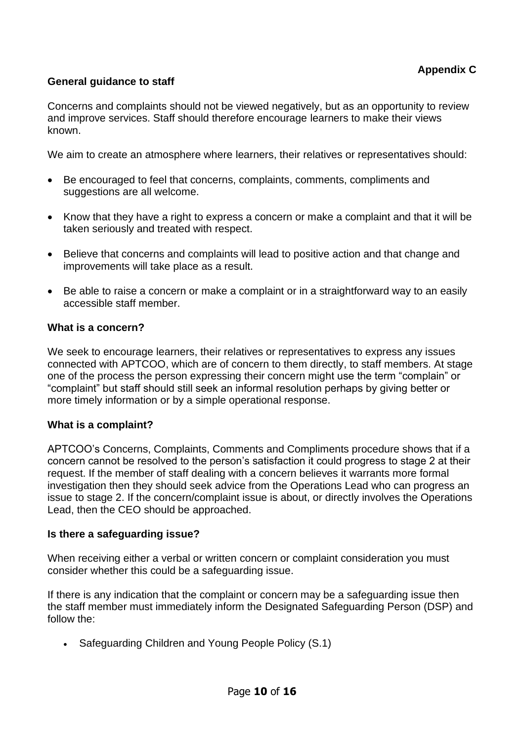## **General guidance to staff**

Concerns and complaints should not be viewed negatively, but as an opportunity to review and improve services. Staff should therefore encourage learners to make their views known.

We aim to create an atmosphere where learners, their relatives or representatives should:

- Be encouraged to feel that concerns, complaints, comments, compliments and suggestions are all welcome.
- Know that they have a right to express a concern or make a complaint and that it will be taken seriously and treated with respect.
- Believe that concerns and complaints will lead to positive action and that change and improvements will take place as a result.
- Be able to raise a concern or make a complaint or in a straightforward way to an easily accessible staff member.

#### **What is a concern?**

We seek to encourage learners, their relatives or representatives to express any issues connected with APTCOO, which are of concern to them directly, to staff members. At stage one of the process the person expressing their concern might use the term "complain" or "complaint" but staff should still seek an informal resolution perhaps by giving better or more timely information or by a simple operational response.

## **What is a complaint?**

APTCOO's Concerns, Complaints, Comments and Compliments procedure shows that if a concern cannot be resolved to the person's satisfaction it could progress to stage 2 at their request. If the member of staff dealing with a concern believes it warrants more formal investigation then they should seek advice from the Operations Lead who can progress an issue to stage 2. If the concern/complaint issue is about, or directly involves the Operations Lead, then the CEO should be approached.

#### **Is there a safeguarding issue?**

When receiving either a verbal or written concern or complaint consideration you must consider whether this could be a safeguarding issue.

If there is any indication that the complaint or concern may be a safeguarding issue then the staff member must immediately inform the Designated Safeguarding Person (DSP) and follow the:

• Safeguarding Children and Young People Policy (S.1)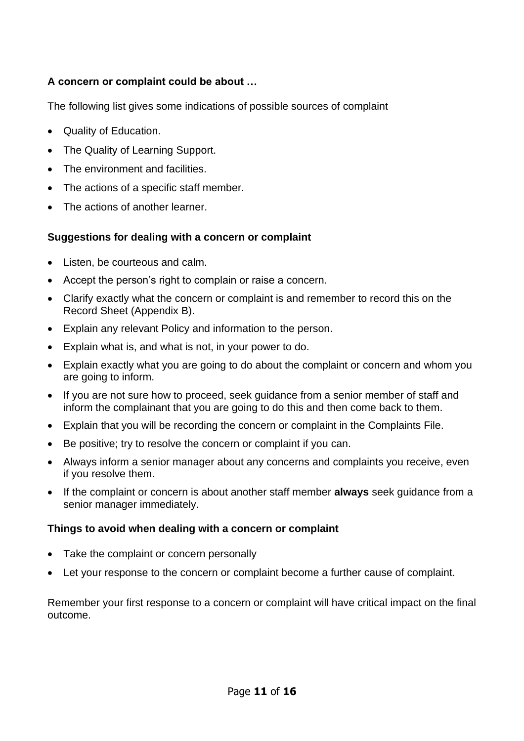## **A concern or complaint could be about …**

The following list gives some indications of possible sources of complaint

- Quality of Education.
- The Quality of Learning Support.
- The environment and facilities.
- The actions of a specific staff member.
- The actions of another learner.

## **Suggestions for dealing with a concern or complaint**

- Listen, be courteous and calm.
- Accept the person's right to complain or raise a concern.
- Clarify exactly what the concern or complaint is and remember to record this on the Record Sheet (Appendix B).
- Explain any relevant Policy and information to the person.
- Explain what is, and what is not, in your power to do.
- Explain exactly what you are going to do about the complaint or concern and whom you are going to inform.
- If you are not sure how to proceed, seek guidance from a senior member of staff and inform the complainant that you are going to do this and then come back to them.
- Explain that you will be recording the concern or complaint in the Complaints File.
- Be positive; try to resolve the concern or complaint if you can.
- Always inform a senior manager about any concerns and complaints you receive, even if you resolve them.
- If the complaint or concern is about another staff member **always** seek guidance from a senior manager immediately.

## **Things to avoid when dealing with a concern or complaint**

- Take the complaint or concern personally
- Let your response to the concern or complaint become a further cause of complaint.

Remember your first response to a concern or complaint will have critical impact on the final outcome.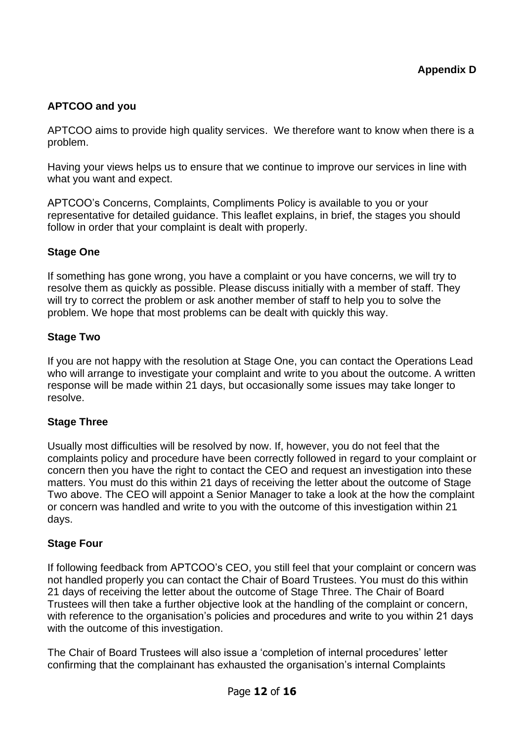## **APTCOO and you**

APTCOO aims to provide high quality services. We therefore want to know when there is a problem.

Having your views helps us to ensure that we continue to improve our services in line with what you want and expect.

APTCOO's Concerns, Complaints, Compliments Policy is available to you or your representative for detailed guidance. This leaflet explains, in brief, the stages you should follow in order that your complaint is dealt with properly.

## **Stage One**

If something has gone wrong, you have a complaint or you have concerns, we will try to resolve them as quickly as possible. Please discuss initially with a member of staff. They will try to correct the problem or ask another member of staff to help you to solve the problem. We hope that most problems can be dealt with quickly this way.

## **Stage Two**

If you are not happy with the resolution at Stage One, you can contact the Operations Lead who will arrange to investigate your complaint and write to you about the outcome. A written response will be made within 21 days, but occasionally some issues may take longer to resolve.

## **Stage Three**

Usually most difficulties will be resolved by now. If, however, you do not feel that the complaints policy and procedure have been correctly followed in regard to your complaint or concern then you have the right to contact the CEO and request an investigation into these matters. You must do this within 21 days of receiving the letter about the outcome of Stage Two above. The CEO will appoint a Senior Manager to take a look at the how the complaint or concern was handled and write to you with the outcome of this investigation within 21 days.

## **Stage Four**

If following feedback from APTCOO's CEO, you still feel that your complaint or concern was not handled properly you can contact the Chair of Board Trustees. You must do this within 21 days of receiving the letter about the outcome of Stage Three. The Chair of Board Trustees will then take a further objective look at the handling of the complaint or concern, with reference to the organisation's policies and procedures and write to you within 21 days with the outcome of this investigation.

The Chair of Board Trustees will also issue a 'completion of internal procedures' letter confirming that the complainant has exhausted the organisation's internal Complaints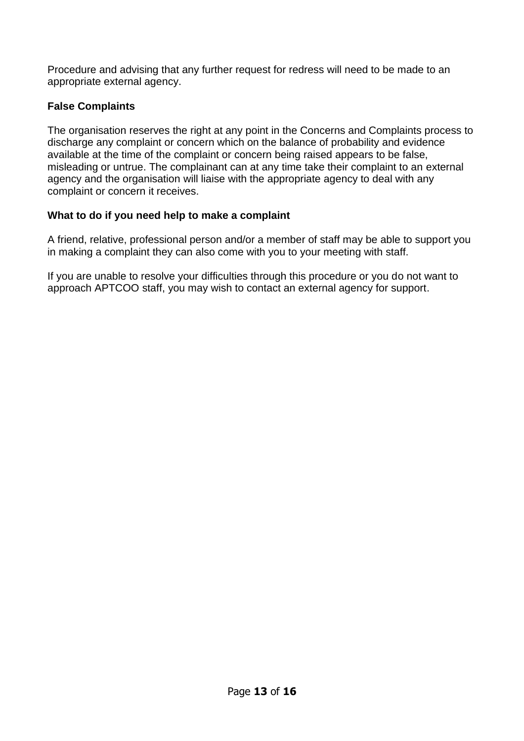Procedure and advising that any further request for redress will need to be made to an appropriate external agency.

## **False Complaints**

The organisation reserves the right at any point in the Concerns and Complaints process to discharge any complaint or concern which on the balance of probability and evidence available at the time of the complaint or concern being raised appears to be false, misleading or untrue. The complainant can at any time take their complaint to an external agency and the organisation will liaise with the appropriate agency to deal with any complaint or concern it receives.

## **What to do if you need help to make a complaint**

A friend, relative, professional person and/or a member of staff may be able to support you in making a complaint they can also come with you to your meeting with staff.

If you are unable to resolve your difficulties through this procedure or you do not want to approach APTCOO staff, you may wish to contact an external agency for support.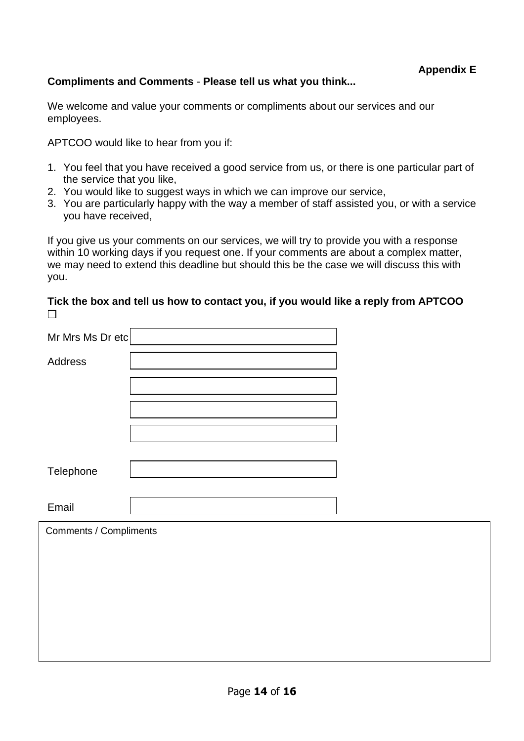#### **Compliments and Comments** - **Please tell us what you think...**

We welcome and value your comments or compliments about our services and our employees.

APTCOO would like to hear from you if:

- 1. You feel that you have received a good service from us, or there is one particular part of the service that you like,
- 2. You would like to suggest ways in which we can improve our service,
- 3. You are particularly happy with the way a member of staff assisted you, or with a service you have received,

If you give us your comments on our services, we will try to provide you with a response within 10 working days if you request one. If your comments are about a complex matter, we may need to extend this deadline but should this be the case we will discuss this with you.

#### **Tick the box and tell us how to contact you, if you would like a reply from APTCOO**   $\Box$

| Mr Mrs Ms Dr etc              |  |
|-------------------------------|--|
| Address                       |  |
|                               |  |
|                               |  |
|                               |  |
|                               |  |
|                               |  |
| Telephone                     |  |
| Email                         |  |
| <b>Comments / Compliments</b> |  |
|                               |  |
|                               |  |
|                               |  |
|                               |  |
|                               |  |
|                               |  |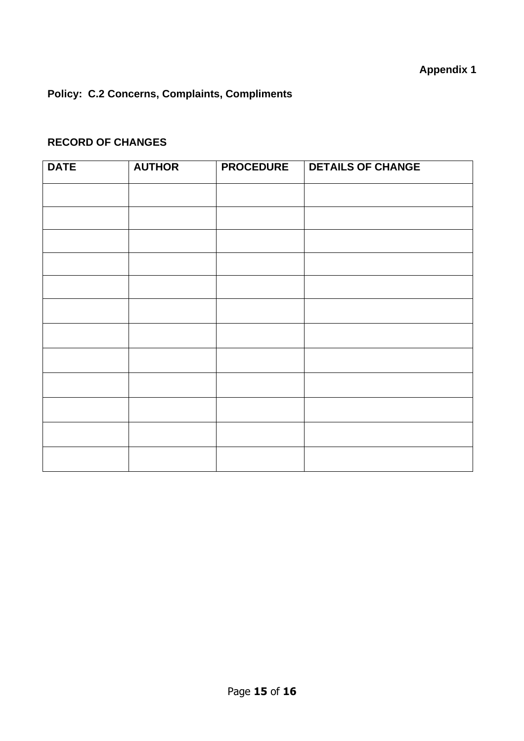## **Policy: C.2 Concerns, Complaints, Compliments**

## **RECORD OF CHANGES**

| <b>DATE</b> | <b>AUTHOR</b> | <b>PROCEDURE</b> | <b>DETAILS OF CHANGE</b> |
|-------------|---------------|------------------|--------------------------|
|             |               |                  |                          |
|             |               |                  |                          |
|             |               |                  |                          |
|             |               |                  |                          |
|             |               |                  |                          |
|             |               |                  |                          |
|             |               |                  |                          |
|             |               |                  |                          |
|             |               |                  |                          |
|             |               |                  |                          |
|             |               |                  |                          |
|             |               |                  |                          |